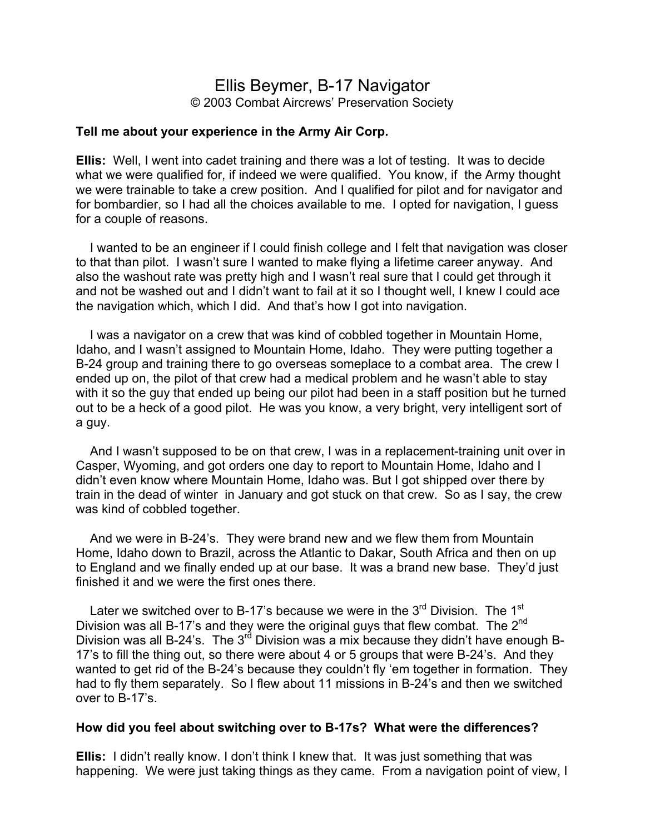# Ellis Beymer, B-17 Navigator © 2003 Combat Aircrews' Preservation Society

#### **Tell me about your experience in the Army Air Corp.**

**Ellis:** Well, I went into cadet training and there was a lot of testing. It was to decide what we were qualified for, if indeed we were qualified. You know, if the Army thought we were trainable to take a crew position. And I qualified for pilot and for navigator and for bombardier, so I had all the choices available to me. I opted for navigation, I guess for a couple of reasons.

 I wanted to be an engineer if I could finish college and I felt that navigation was closer to that than pilot. I wasn't sure I wanted to make flying a lifetime career anyway. And also the washout rate was pretty high and I wasn't real sure that I could get through it and not be washed out and I didn't want to fail at it so I thought well, I knew I could ace the navigation which, which I did. And that's how I got into navigation.

 I was a navigator on a crew that was kind of cobbled together in Mountain Home, Idaho, and I wasn't assigned to Mountain Home, Idaho. They were putting together a B-24 group and training there to go overseas someplace to a combat area. The crew I ended up on, the pilot of that crew had a medical problem and he wasn't able to stay with it so the guy that ended up being our pilot had been in a staff position but he turned out to be a heck of a good pilot. He was you know, a very bright, very intelligent sort of a guy.

 And I wasn't supposed to be on that crew, I was in a replacement-training unit over in Casper, Wyoming, and got orders one day to report to Mountain Home, Idaho and I didn't even know where Mountain Home, Idaho was. But I got shipped over there by train in the dead of winter in January and got stuck on that crew. So as I say, the crew was kind of cobbled together.

 And we were in B-24's. They were brand new and we flew them from Mountain Home, Idaho down to Brazil, across the Atlantic to Dakar, South Africa and then on up to England and we finally ended up at our base. It was a brand new base. They'd just finished it and we were the first ones there.

Later we switched over to B-17's because we were in the  $3<sup>rd</sup>$  Division. The 1<sup>st</sup> Division was all B-17's and they were the original guys that flew combat. The 2<sup>nd</sup> Division was all B-24's. The  $3^{rd}$  Division was a mix because they didn't have enough B-17's to fill the thing out, so there were about 4 or 5 groups that were B-24's. And they wanted to get rid of the B-24's because they couldn't fly 'em together in formation. They had to fly them separately. So I flew about 11 missions in B-24's and then we switched over to B-17's.

#### **How did you feel about switching over to B-17s? What were the differences?**

**Ellis:** I didn't really know. I don't think I knew that. It was just something that was happening. We were just taking things as they came. From a navigation point of view, I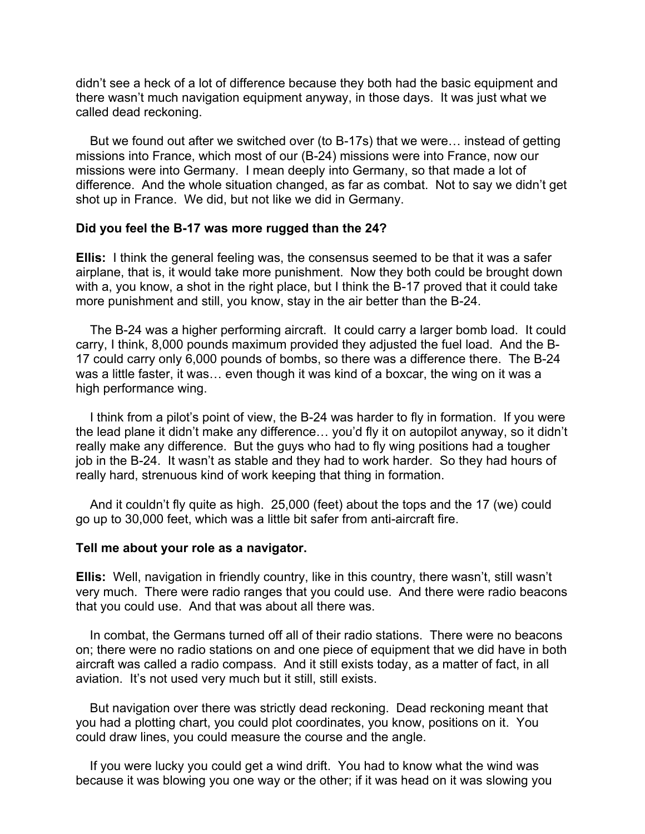didn't see a heck of a lot of difference because they both had the basic equipment and there wasn't much navigation equipment anyway, in those days. It was just what we called dead reckoning.

 But we found out after we switched over (to B-17s) that we were… instead of getting missions into France, which most of our (B-24) missions were into France, now our missions were into Germany. I mean deeply into Germany, so that made a lot of difference. And the whole situation changed, as far as combat. Not to say we didn't get shot up in France. We did, but not like we did in Germany.

### **Did you feel the B-17 was more rugged than the 24?**

**Ellis:** I think the general feeling was, the consensus seemed to be that it was a safer airplane, that is, it would take more punishment. Now they both could be brought down with a, you know, a shot in the right place, but I think the B-17 proved that it could take more punishment and still, you know, stay in the air better than the B-24.

 The B-24 was a higher performing aircraft. It could carry a larger bomb load. It could carry, I think, 8,000 pounds maximum provided they adjusted the fuel load. And the B-17 could carry only 6,000 pounds of bombs, so there was a difference there. The B-24 was a little faster, it was… even though it was kind of a boxcar, the wing on it was a high performance wing.

 I think from a pilot's point of view, the B-24 was harder to fly in formation. If you were the lead plane it didn't make any difference… you'd fly it on autopilot anyway, so it didn't really make any difference. But the guys who had to fly wing positions had a tougher job in the B-24. It wasn't as stable and they had to work harder. So they had hours of really hard, strenuous kind of work keeping that thing in formation.

 And it couldn't fly quite as high. 25,000 (feet) about the tops and the 17 (we) could go up to 30,000 feet, which was a little bit safer from anti-aircraft fire.

#### **Tell me about your role as a navigator.**

**Ellis:** Well, navigation in friendly country, like in this country, there wasn't, still wasn't very much. There were radio ranges that you could use. And there were radio beacons that you could use. And that was about all there was.

 In combat, the Germans turned off all of their radio stations. There were no beacons on; there were no radio stations on and one piece of equipment that we did have in both aircraft was called a radio compass. And it still exists today, as a matter of fact, in all aviation. It's not used very much but it still, still exists.

 But navigation over there was strictly dead reckoning. Dead reckoning meant that you had a plotting chart, you could plot coordinates, you know, positions on it. You could draw lines, you could measure the course and the angle.

If you were lucky you could get a wind drift. You had to know what the wind was because it was blowing you one way or the other; if it was head on it was slowing you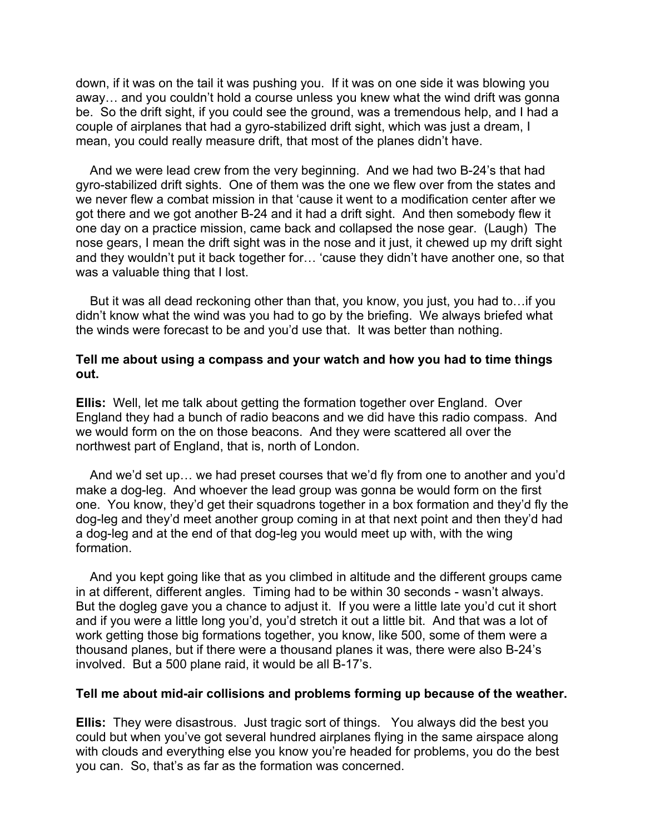down, if it was on the tail it was pushing you. If it was on one side it was blowing you away… and you couldn't hold a course unless you knew what the wind drift was gonna be. So the drift sight, if you could see the ground, was a tremendous help, and I had a couple of airplanes that had a gyro-stabilized drift sight, which was just a dream, I mean, you could really measure drift, that most of the planes didn't have.

And we were lead crew from the very beginning. And we had two B-24's that had gyro-stabilized drift sights. One of them was the one we flew over from the states and we never flew a combat mission in that 'cause it went to a modification center after we got there and we got another B-24 and it had a drift sight. And then somebody flew it one day on a practice mission, came back and collapsed the nose gear. (Laugh) The nose gears, I mean the drift sight was in the nose and it just, it chewed up my drift sight and they wouldn't put it back together for… 'cause they didn't have another one, so that was a valuable thing that I lost.

 But it was all dead reckoning other than that, you know, you just, you had to…if you didn't know what the wind was you had to go by the briefing. We always briefed what the winds were forecast to be and you'd use that. It was better than nothing.

### **Tell me about using a compass and your watch and how you had to time things out.**

**Ellis:** Well, let me talk about getting the formation together over England. Over England they had a bunch of radio beacons and we did have this radio compass. And we would form on the on those beacons. And they were scattered all over the northwest part of England, that is, north of London.

 And we'd set up… we had preset courses that we'd fly from one to another and you'd make a dog-leg. And whoever the lead group was gonna be would form on the first one. You know, they'd get their squadrons together in a box formation and they'd fly the dog-leg and they'd meet another group coming in at that next point and then they'd had a dog-leg and at the end of that dog-leg you would meet up with, with the wing formation.

And you kept going like that as you climbed in altitude and the different groups came in at different, different angles. Timing had to be within 30 seconds - wasn't always. But the dogleg gave you a chance to adjust it. If you were a little late you'd cut it short and if you were a little long you'd, you'd stretch it out a little bit. And that was a lot of work getting those big formations together, you know, like 500, some of them were a thousand planes, but if there were a thousand planes it was, there were also B-24's involved. But a 500 plane raid, it would be all B-17's.

#### **Tell me about mid-air collisions and problems forming up because of the weather.**

**Ellis:** They were disastrous. Just tragic sort of things. You always did the best you could but when you've got several hundred airplanes flying in the same airspace along with clouds and everything else you know you're headed for problems, you do the best you can. So, that's as far as the formation was concerned.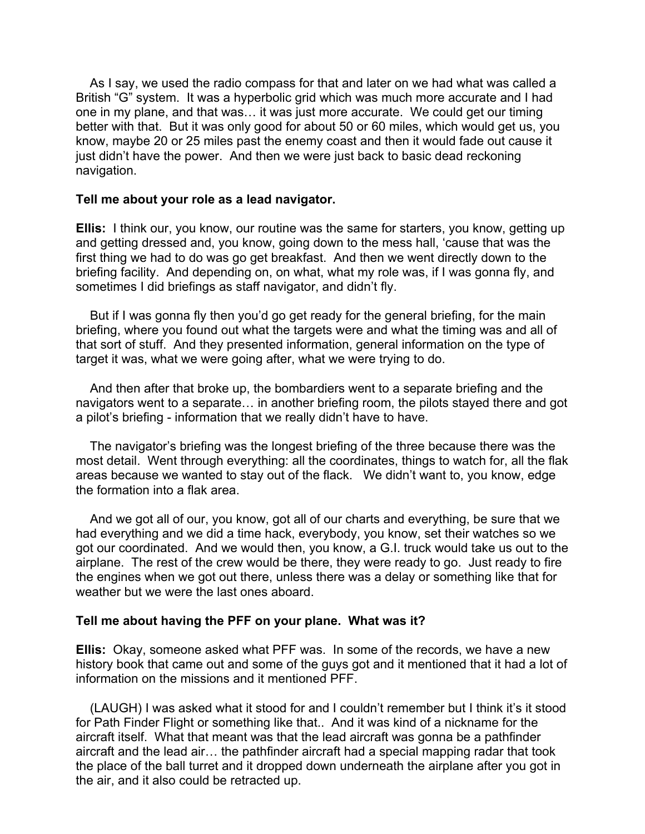As I say, we used the radio compass for that and later on we had what was called a British "G" system. It was a hyperbolic grid which was much more accurate and I had one in my plane, and that was… it was just more accurate. We could get our timing better with that. But it was only good for about 50 or 60 miles, which would get us, you know, maybe 20 or 25 miles past the enemy coast and then it would fade out cause it just didn't have the power. And then we were just back to basic dead reckoning navigation.

#### **Tell me about your role as a lead navigator.**

**Ellis:** I think our, you know, our routine was the same for starters, you know, getting up and getting dressed and, you know, going down to the mess hall, 'cause that was the first thing we had to do was go get breakfast. And then we went directly down to the briefing facility. And depending on, on what, what my role was, if I was gonna fly, and sometimes I did briefings as staff navigator, and didn't fly.

 But if I was gonna fly then you'd go get ready for the general briefing, for the main briefing, where you found out what the targets were and what the timing was and all of that sort of stuff. And they presented information, general information on the type of target it was, what we were going after, what we were trying to do.

 And then after that broke up, the bombardiers went to a separate briefing and the navigators went to a separate… in another briefing room, the pilots stayed there and got a pilot's briefing - information that we really didn't have to have.

The navigator's briefing was the longest briefing of the three because there was the most detail. Went through everything: all the coordinates, things to watch for, all the flak areas because we wanted to stay out of the flack. We didn't want to, you know, edge the formation into a flak area.

 And we got all of our, you know, got all of our charts and everything, be sure that we had everything and we did a time hack, everybody, you know, set their watches so we got our coordinated. And we would then, you know, a G.I. truck would take us out to the airplane. The rest of the crew would be there, they were ready to go. Just ready to fire the engines when we got out there, unless there was a delay or something like that for weather but we were the last ones aboard.

### **Tell me about having the PFF on your plane. What was it?**

**Ellis:** Okay, someone asked what PFF was. In some of the records, we have a new history book that came out and some of the guys got and it mentioned that it had a lot of information on the missions and it mentioned PFF.

 (LAUGH) I was asked what it stood for and I couldn't remember but I think it's it stood for Path Finder Flight or something like that.. And it was kind of a nickname for the aircraft itself. What that meant was that the lead aircraft was gonna be a pathfinder aircraft and the lead air… the pathfinder aircraft had a special mapping radar that took the place of the ball turret and it dropped down underneath the airplane after you got in the air, and it also could be retracted up.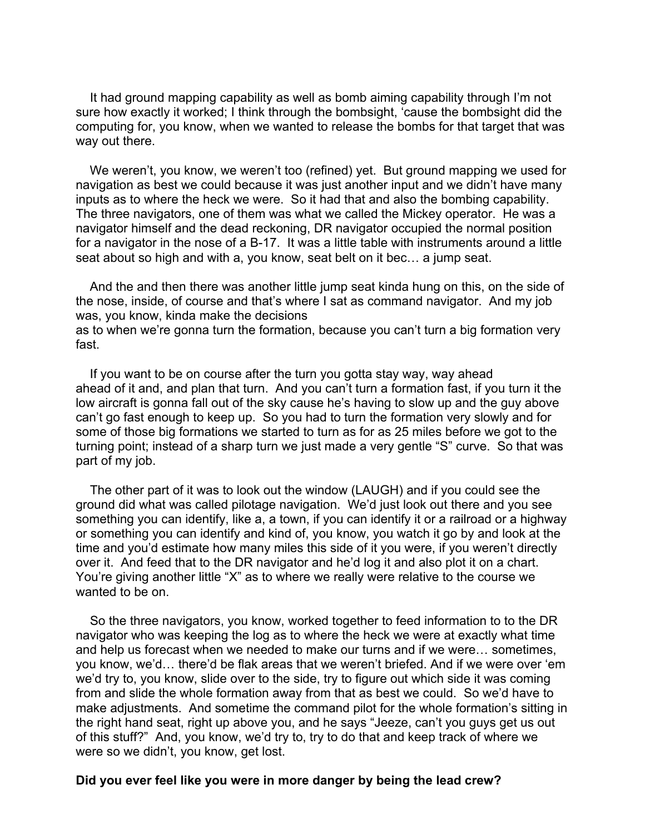It had ground mapping capability as well as bomb aiming capability through I'm not sure how exactly it worked; I think through the bombsight, 'cause the bombsight did the computing for, you know, when we wanted to release the bombs for that target that was way out there.

We weren't, you know, we weren't too (refined) yet. But ground mapping we used for navigation as best we could because it was just another input and we didn't have many inputs as to where the heck we were. So it had that and also the bombing capability. The three navigators, one of them was what we called the Mickey operator. He was a navigator himself and the dead reckoning, DR navigator occupied the normal position for a navigator in the nose of a B-17. It was a little table with instruments around a little seat about so high and with a, you know, seat belt on it bec… a jump seat.

 And the and then there was another little jump seat kinda hung on this, on the side of the nose, inside, of course and that's where I sat as command navigator. And my job was, you know, kinda make the decisions

as to when we're gonna turn the formation, because you can't turn a big formation very fast.

If you want to be on course after the turn you gotta stay way, way ahead ahead of it and, and plan that turn. And you can't turn a formation fast, if you turn it the low aircraft is gonna fall out of the sky cause he's having to slow up and the guy above can't go fast enough to keep up. So you had to turn the formation very slowly and for some of those big formations we started to turn as for as 25 miles before we got to the turning point; instead of a sharp turn we just made a very gentle "S" curve. So that was part of my job.

 The other part of it was to look out the window (LAUGH) and if you could see the ground did what was called pilotage navigation. We'd just look out there and you see something you can identify, like a, a town, if you can identify it or a railroad or a highway or something you can identify and kind of, you know, you watch it go by and look at the time and you'd estimate how many miles this side of it you were, if you weren't directly over it. And feed that to the DR navigator and he'd log it and also plot it on a chart. You're giving another little "X" as to where we really were relative to the course we wanted to be on.

 So the three navigators, you know, worked together to feed information to to the DR navigator who was keeping the log as to where the heck we were at exactly what time and help us forecast when we needed to make our turns and if we were… sometimes, you know, we'd… there'd be flak areas that we weren't briefed. And if we were over 'em we'd try to, you know, slide over to the side, try to figure out which side it was coming from and slide the whole formation away from that as best we could. So we'd have to make adjustments. And sometime the command pilot for the whole formation's sitting in the right hand seat, right up above you, and he says "Jeeze, can't you guys get us out of this stuff?" And, you know, we'd try to, try to do that and keep track of where we were so we didn't, you know, get lost.

#### **Did you ever feel like you were in more danger by being the lead crew?**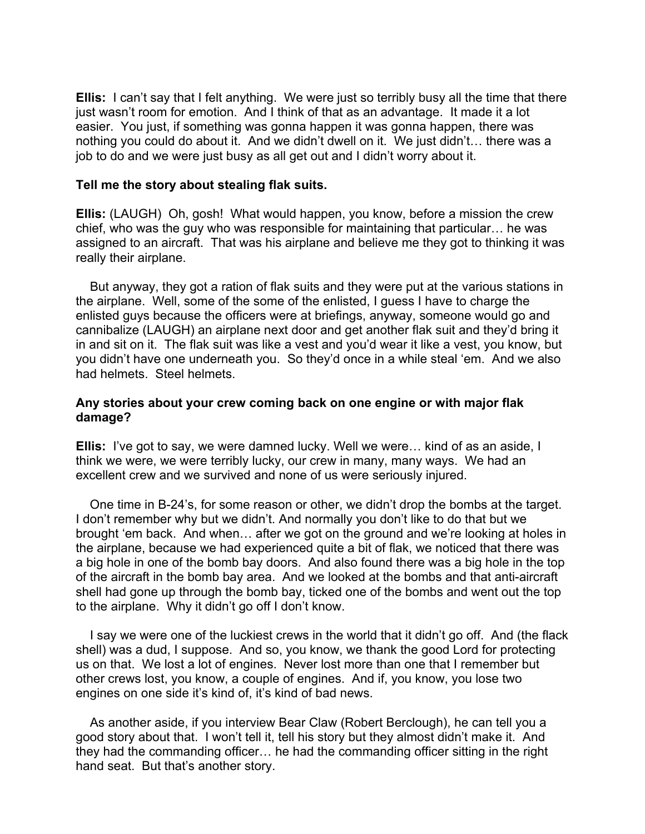**Ellis:** I can't say that I felt anything. We were just so terribly busy all the time that there just wasn't room for emotion. And I think of that as an advantage. It made it a lot easier. You just, if something was gonna happen it was gonna happen, there was nothing you could do about it. And we didn't dwell on it. We just didn't… there was a job to do and we were just busy as all get out and I didn't worry about it.

### **Tell me the story about stealing flak suits.**

**Ellis:** (LAUGH) Oh, gosh! What would happen, you know, before a mission the crew chief, who was the guy who was responsible for maintaining that particular… he was assigned to an aircraft. That was his airplane and believe me they got to thinking it was really their airplane.

 But anyway, they got a ration of flak suits and they were put at the various stations in the airplane. Well, some of the some of the enlisted, I guess I have to charge the enlisted guys because the officers were at briefings, anyway, someone would go and cannibalize (LAUGH) an airplane next door and get another flak suit and they'd bring it in and sit on it. The flak suit was like a vest and you'd wear it like a vest, you know, but you didn't have one underneath you. So they'd once in a while steal 'em. And we also had helmets. Steel helmets.

### **Any stories about your crew coming back on one engine or with major flak damage?**

**Ellis:** I've got to say, we were damned lucky. Well we were… kind of as an aside, I think we were, we were terribly lucky, our crew in many, many ways. We had an excellent crew and we survived and none of us were seriously injured.

 One time in B-24's, for some reason or other, we didn't drop the bombs at the target. I don't remember why but we didn't. And normally you don't like to do that but we brought 'em back. And when… after we got on the ground and we're looking at holes in the airplane, because we had experienced quite a bit of flak, we noticed that there was a big hole in one of the bomb bay doors. And also found there was a big hole in the top of the aircraft in the bomb bay area. And we looked at the bombs and that anti-aircraft shell had gone up through the bomb bay, ticked one of the bombs and went out the top to the airplane. Why it didn't go off I don't know.

 I say we were one of the luckiest crews in the world that it didn't go off. And (the flack shell) was a dud, I suppose. And so, you know, we thank the good Lord for protecting us on that. We lost a lot of engines. Never lost more than one that I remember but other crews lost, you know, a couple of engines. And if, you know, you lose two engines on one side it's kind of, it's kind of bad news.

 As another aside, if you interview Bear Claw (Robert Berclough), he can tell you a good story about that. I won't tell it, tell his story but they almost didn't make it. And they had the commanding officer… he had the commanding officer sitting in the right hand seat. But that's another story.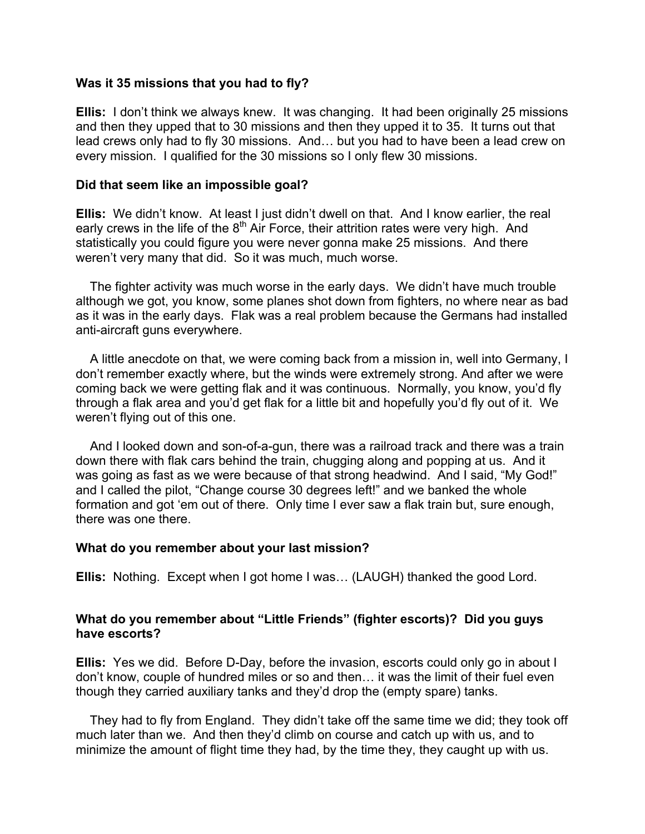### **Was it 35 missions that you had to fly?**

**Ellis:** I don't think we always knew. It was changing. It had been originally 25 missions and then they upped that to 30 missions and then they upped it to 35. It turns out that lead crews only had to fly 30 missions. And… but you had to have been a lead crew on every mission. I qualified for the 30 missions so I only flew 30 missions.

### **Did that seem like an impossible goal?**

**Ellis:** We didn't know. At least I just didn't dwell on that. And I know earlier, the real early crews in the life of the  $8<sup>th</sup>$  Air Force, their attrition rates were very high. And statistically you could figure you were never gonna make 25 missions. And there weren't very many that did. So it was much, much worse.

 The fighter activity was much worse in the early days. We didn't have much trouble although we got, you know, some planes shot down from fighters, no where near as bad as it was in the early days. Flak was a real problem because the Germans had installed anti-aircraft guns everywhere.

 A little anecdote on that, we were coming back from a mission in, well into Germany, I don't remember exactly where, but the winds were extremely strong. And after we were coming back we were getting flak and it was continuous. Normally, you know, you'd fly through a flak area and you'd get flak for a little bit and hopefully you'd fly out of it. We weren't flying out of this one.

 And I looked down and son-of-a-gun, there was a railroad track and there was a train down there with flak cars behind the train, chugging along and popping at us. And it was going as fast as we were because of that strong headwind. And I said, "My God!" and I called the pilot, "Change course 30 degrees left!" and we banked the whole formation and got 'em out of there. Only time I ever saw a flak train but, sure enough, there was one there.

### **What do you remember about your last mission?**

**Ellis:** Nothing. Except when I got home I was… (LAUGH) thanked the good Lord.

### **What do you remember about "Little Friends" (fighter escorts)? Did you guys have escorts?**

**Ellis:** Yes we did. Before D-Day, before the invasion, escorts could only go in about I don't know, couple of hundred miles or so and then… it was the limit of their fuel even though they carried auxiliary tanks and they'd drop the (empty spare) tanks.

 They had to fly from England. They didn't take off the same time we did; they took off much later than we. And then they'd climb on course and catch up with us, and to minimize the amount of flight time they had, by the time they, they caught up with us.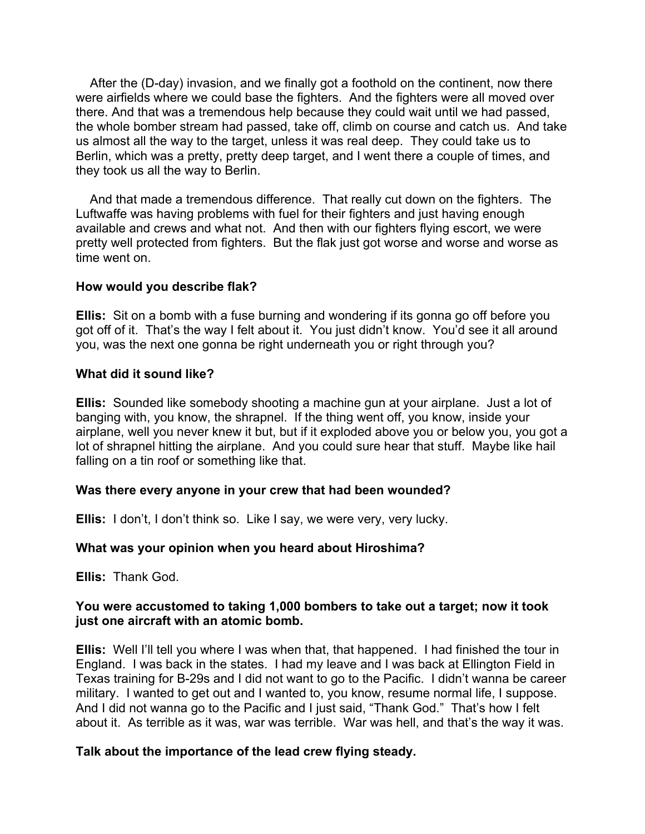After the (D-day) invasion, and we finally got a foothold on the continent, now there were airfields where we could base the fighters. And the fighters were all moved over there. And that was a tremendous help because they could wait until we had passed, the whole bomber stream had passed, take off, climb on course and catch us. And take us almost all the way to the target, unless it was real deep. They could take us to Berlin, which was a pretty, pretty deep target, and I went there a couple of times, and they took us all the way to Berlin.

 And that made a tremendous difference. That really cut down on the fighters. The Luftwaffe was having problems with fuel for their fighters and just having enough available and crews and what not. And then with our fighters flying escort, we were pretty well protected from fighters. But the flak just got worse and worse and worse as time went on.

### **How would you describe flak?**

**Ellis:** Sit on a bomb with a fuse burning and wondering if its gonna go off before you got off of it. That's the way I felt about it. You just didn't know. You'd see it all around you, was the next one gonna be right underneath you or right through you?

### **What did it sound like?**

**Ellis:** Sounded like somebody shooting a machine gun at your airplane. Just a lot of banging with, you know, the shrapnel. If the thing went off, you know, inside your airplane, well you never knew it but, but if it exploded above you or below you, you got a lot of shrapnel hitting the airplane. And you could sure hear that stuff. Maybe like hail falling on a tin roof or something like that.

# **Was there every anyone in your crew that had been wounded?**

**Ellis:** I don't, I don't think so. Like I say, we were very, very lucky.

# **What was your opinion when you heard about Hiroshima?**

**Ellis:** Thank God.

# **You were accustomed to taking 1,000 bombers to take out a target; now it took just one aircraft with an atomic bomb.**

**Ellis:** Well I'll tell you where I was when that, that happened. I had finished the tour in England. I was back in the states. I had my leave and I was back at Ellington Field in Texas training for B-29s and I did not want to go to the Pacific. I didn't wanna be career military. I wanted to get out and I wanted to, you know, resume normal life, I suppose. And I did not wanna go to the Pacific and I just said, "Thank God." That's how I felt about it. As terrible as it was, war was terrible. War was hell, and that's the way it was.

# **Talk about the importance of the lead crew flying steady.**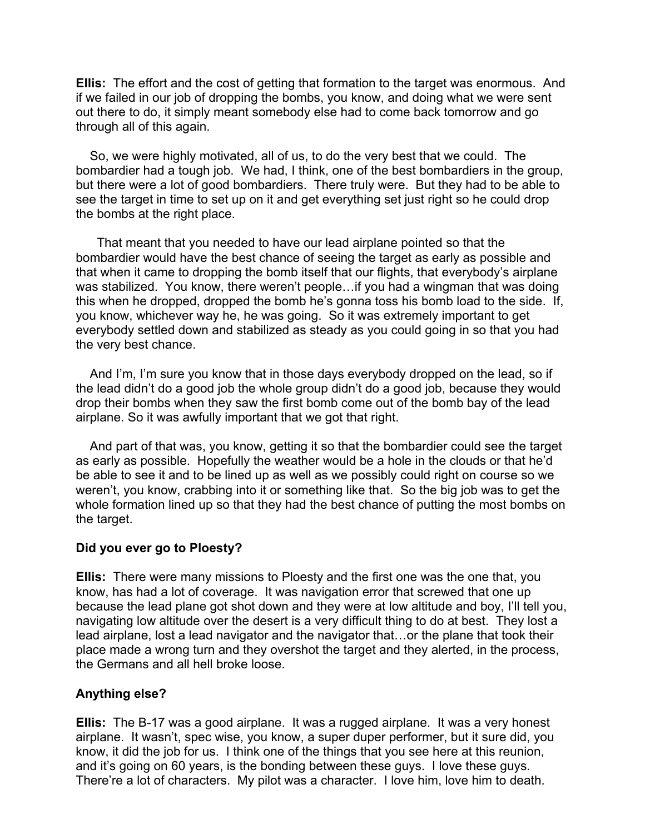**Ellis:** The effort and the cost of getting that formation to the target was enormous. And if we failed in our job of dropping the bombs, you know, and doing what we were sent out there to do, it simply meant somebody else had to come back tomorrow and go through all of this again.

 So, we were highly motivated, all of us, to do the very best that we could. The bombardier had a tough job. We had, I think, one of the best bombardiers in the group, but there were a lot of good bombardiers. There truly were. But they had to be able to see the target in time to set up on it and get everything set just right so he could drop the bombs at the right place.

That meant that you needed to have our lead airplane pointed so that the bombardier would have the best chance of seeing the target as early as possible and that when it came to dropping the bomb itself that our flights, that everybody's airplane was stabilized. You know, there weren't people…if you had a wingman that was doing this when he dropped, dropped the bomb he's gonna toss his bomb load to the side. If, you know, whichever way he, he was going. So it was extremely important to get everybody settled down and stabilized as steady as you could going in so that you had the very best chance.

 And I'm, I'm sure you know that in those days everybody dropped on the lead, so if the lead didn't do a good job the whole group didn't do a good job, because they would drop their bombs when they saw the first bomb come out of the bomb bay of the lead airplane. So it was awfully important that we got that right.

 And part of that was, you know, getting it so that the bombardier could see the target as early as possible. Hopefully the weather would be a hole in the clouds or that he'd be able to see it and to be lined up as well as we possibly could right on course so we weren't, you know, crabbing into it or something like that. So the big job was to get the whole formation lined up so that they had the best chance of putting the most bombs on the target.

### **Did you ever go to Ploesty?**

**Ellis:** There were many missions to Ploesty and the first one was the one that, you know, has had a lot of coverage. It was navigation error that screwed that one up because the lead plane got shot down and they were at low altitude and boy, I'll tell you, navigating low altitude over the desert is a very difficult thing to do at best. They lost a lead airplane, lost a lead navigator and the navigator that…or the plane that took their place made a wrong turn and they overshot the target and they alerted, in the process, the Germans and all hell broke loose.

# **Anything else?**

**Ellis:** The B-17 was a good airplane. It was a rugged airplane. It was a very honest airplane. It wasn't, spec wise, you know, a super duper performer, but it sure did, you know, it did the job for us. I think one of the things that you see here at this reunion, and it's going on 60 years, is the bonding between these guys. I love these guys. There're a lot of characters. My pilot was a character. I love him, love him to death.